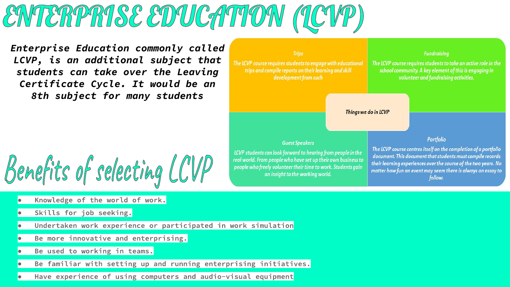### ENTERPRISE EDUCATION (LCVP)

*Enterprise Education commonly called LCVP, is an additional subject that students can take over the Leaving Certificate Cycle. It would be an 8th subject for many students* 

## Benefits of selecting LCVP

- Knowledge of the world of work. ●
- Skills for job seeking. ●
- Undertaken work experience or participated in work simulation ●
- Be more innovative and enterprising. ●
- Be used to working in teams. ●
- Be familiar with setting up and running enterprising initiatives. ●
- Have experience of using computers and audio-visual equipment ●

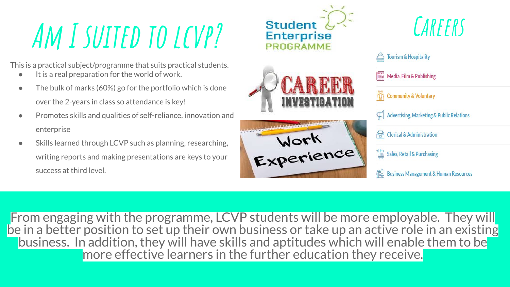## **Am I suited to lcvp?**

This is a practical subject/programme that suits practical students.

- It is a real preparation for the world of work.
- $\bullet$  The bulk of marks (60%) go for the portfolio which is done over the 2-years in class so attendance is key!
- Promotes skills and qualities of self-reliance, innovation and enterprise
- Skills learned through LCVP such as planning, researching, writing reports and making presentations are keys to your success at third level.



From engaging with the programme, LCVP students will be more employable. They will be in a better position to set up their own business or take up an active role in an existing business. In addition, they will have skills and aptitudes which will enable them to be more effective learners in the further education they receive.